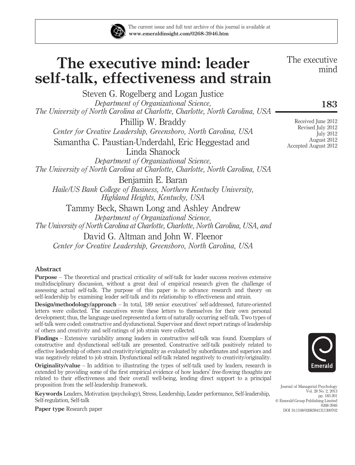

The current issue and full text archive of this journal is available at www.emeraldinsight.com/0268-3946.htm

# The executive mind: leader self-talk, effectiveness and strain

Steven G. Rogelberg and Logan Justice Department of Organizational Science, The University of North Carolina at Charlotte, Charlotte, North Carolina, USA Phillip W. Braddy

Center for Creative Leadership, Greensboro, North Carolina, USA Samantha C. Paustian-Underdahl, Eric Heggestad and

Linda Shanock

Department of Organizational Science, The University of North Carolina at Charlotte, Charlotte, North Carolina, USA

Benjamin E. Baran Haile/US Bank College of Business, Northern Kentucky University, Highland Heights, Kentucky, USA

Tammy Beck, Shawn Long and Ashley Andrew Department of Organizational Science, The University of North Carolina at Charlotte, Charlotte, North Carolina, USA, and

David G. Altman and John W. Fleenor Center for Creative Leadership, Greensboro, North Carolina, USA

## Abstract

Purpose – The theoretical and practical criticality of self-talk for leader success receives extensive multidisciplinary discussion, without a great deal of empirical research given the challenge of assessing actual self-talk. The purpose of this paper is to advance research and theory on self-leadership by examining leader self-talk and its relationship to effectiveness and strain.

Design/methodology/approach – In total, 189 senior executives' self-addressed, future-oriented letters were collected. The executives wrote these letters to themselves for their own personal development; thus, the language used represented a form of naturally occurring self-talk. Two types of self-talk were coded: constructive and dysfunctional. Supervisor and direct report ratings of leadership of others and creativity and self-ratings of job strain were collected.

Findings – Extensive variability among leaders in constructive self-talk was found. Exemplars of constructive and dysfunctional self-talk are presented. Constructive self-talk positively related to effective leadership of others and creativity/originality as evaluated by subordinates and superiors and was negatively related to job strain. Dysfunctional self-talk related negatively to creativity/originality.

**Originality/value** – In addition to illustrating the types of self-talk used by leaders, research is extended by providing some of the first empirical evidence of how leaders' free-flowing thoughts are related to their effectiveness and their overall well-being, lending direct support to a principal proposition from the self-leadership framework.

Keywords Leaders, Motivation (psychology), Stress, Leadership, Leader performance, Self-leadership, Self-regulation, Self-talk

The executive mind

# 183

Received June 2012 Revised July 2012 July 2012 August 2012 Accepted August 2012



Journal of Managerial Psychology Vol. 28 No. 2, 2013 pp. 183-201 q Emerald Group Publishing Limited 0268-3946 DOI 10.1108/02683941311300702

Paper type Research paper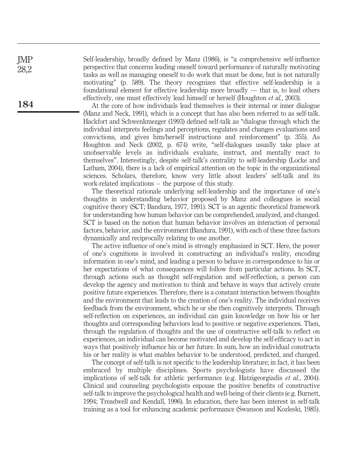Self-leadership, broadly defined by Manz (1986), is "a comprehensive self-influence perspective that concerns leading oneself toward performance of naturally motivating tasks as well as managing oneself to do work that must be done, but is not naturally motivating" (p. 589). The theory recognizes that effective self-leadership is a foundational element for effective leadership more broadly — that is, to lead others effectively, one must effectively lead himself or herself (Houghton et al., 2003).

At the core of how individuals lead themselves is their internal or inner dialogue (Manz and Neck, 1991), which is a concept that has also been referred to as self-talk. Hackfort and Schwenkmezger (1993) defined self-talk as "dialogue through which the individual interprets feelings and perceptions, regulates and changes evaluations and convictions, and gives him/herself instructions and reinforcement" (p. 355). As Houghton and Neck (2002, p. 674) write, "self-dialogues usually take place at unobservable levels as individuals evaluate, instruct, and mentally react to themselves". Interestingly, despite self-talk's centrality to self-leadership (Locke and Latham, 2004), there is a lack of empirical attention on the topic in the organizational sciences. Scholars, therefore, know very little about leaders' self-talk and its work-related implications – the purpose of this study.

The theoretical rationale underlying self-leadership and the importance of one's thoughts in understanding behavior proposed by Manz and colleagues is social cognitive theory (SCT; Bandura, 1977, 1991). SCT is an agentic theoretical framework for understanding how human behavior can be comprehended, analyzed, and changed. SCT is based on the notion that human behavior involves an interaction of personal factors, behavior, and the environment (Bandura, 1991), with each of these three factors dynamically and reciprocally relating to one another.

The active influence of one's mind is strongly emphasized in SCT. Here, the power of one's cognitions is involved in constructing an individual's reality, encoding information in one's mind, and leading a person to behave in correspondence to his or her expectations of what consequences will follow from particular actions. In SCT, through actions such as thought self-regulation and self-reflection, a person can develop the agency and motivation to think and behave in ways that actively create positive future experiences. Therefore, there is a constant interaction between thoughts and the environment that leads to the creation of one's reality. The individual receives feedback from the environment, which he or she then cognitively interprets. Through self-reflection on experiences, an individual can gain knowledge on how his or her thoughts and corresponding behaviors lead to positive or negative experiences. Then, through the regulation of thoughts and the use of constructive self-talk to reflect on experiences, an individual can become motivated and develop the self-efficacy to act in ways that positively influence his or her future. In sum, how an individual constructs his or her reality is what enables behavior to be understood, predicted, and changed.

The concept of self-talk is not specific to the leadership literature; in fact, it has been embraced by multiple disciplines. Sports psychologists have discussed the implications of self-talk for athletic performance (e.g. Hatzigeorgiadis et al., 2004). Clinical and counseling psychologists espouse the positive benefits of constructive self-talk to improve the psychological health and well-being of their clients (e.g. Burnett, 1994; Treadwell and Kendall, 1996). In education, there has been interest in self-talk training as a tool for enhancing academic performance (Swanson and Kozleski, 1985).

JMP 28,2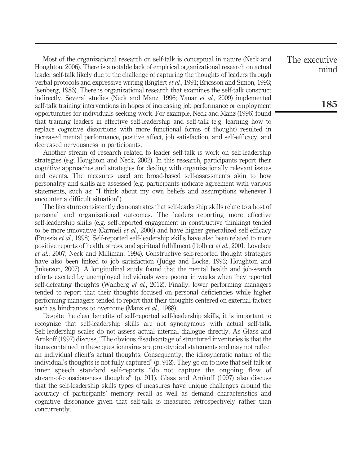Most of the organizational research on self-talk is conceptual in nature (Neck and Houghton, 2006). There is a notable lack of empirical organizational research on actual leader self-talk likely due to the challenge of capturing the thoughts of leaders through verbal protocols and expressive writing (Englert et al., 1991; Ericsson and Simon, 1993; Isenberg, 1986). There is organizational research that examines the self-talk construct indirectly. Several studies (Neck and Manz, 1996; Yanar et al., 2009) implemented self-talk training interventions in hopes of increasing job performance or employment opportunities for individuals seeking work. For example, Neck and Manz (1996) found that training leaders in effective self-leadership and self-talk (e.g. learning how to replace cognitive distortions with more functional forms of thought) resulted in increased mental performance, positive affect, job satisfaction, and self-efficacy, and decreased nervousness in participants.

Another stream of research related to leader self-talk is work on self-leadership strategies (e.g. Houghton and Neck, 2002). In this research, participants report their cognitive approaches and strategies for dealing with organizationally relevant issues and events. The measures used are broad-based self-assessments akin to how personality and skills are assessed (e.g. participants indicate agreement with various statements, such as: "I think about my own beliefs and assumptions whenever I encounter a difficult situation").

The literature consistently demonstrates that self-leadership skills relate to a host of personal and organizational outcomes. The leaders reporting more effective self-leadership skills (e.g. self-reported engagement in constructive thinking) tended to be more innovative (Carmeli *et al.*, 2006) and have higher generalized self-efficacy (Prussia et al., 1998). Self-reported self-leadership skills have also been related to more positive reports of health, stress, and spiritual fulfillment (Dolbier et al., 2001; Lovelace et al., 2007; Neck and Milliman, 1994). Constructive self-reported thought strategies have also been linked to job satisfaction (Judge and Locke, 1993; Houghton and Jinkerson, 2007). A longitudinal study found that the mental health and job-search efforts exerted by unemployed individuals were poorer in weeks when they reported self-defeating thoughts (Wanberg et al., 2012). Finally, lower performing managers tended to report that their thoughts focused on personal deficiencies while higher performing managers tended to report that their thoughts centered on external factors such as hindrances to overcome (Manz et al., 1988).

Despite the clear benefits of self-reported self-leadership skills, it is important to recognize that self-leadership skills are not synonymous with actual self-talk. Self-leadership scales do not assess actual internal dialogue directly. As Glass and Arnkoff (1997) discuss, "The obvious disadvantage of structured inventories is that the items contained in these questionnaires are prototypical statements and may not reflect an individual client's actual thoughts. Consequently, the idiosyncratic nature of the individual's thoughts is not fully captured" (p. 912). They go on to note that self-talk or inner speech standard self-reports "do not capture the ongoing flow of stream-of-consciousness thoughts" (p. 911). Glass and Arnkoff (1997) also discuss that the self-leadership skills types of measures have unique challenges around the accuracy of participants' memory recall as well as demand characteristics and cognitive dissonance given that self-talk is measured retrospectively rather than concurrently.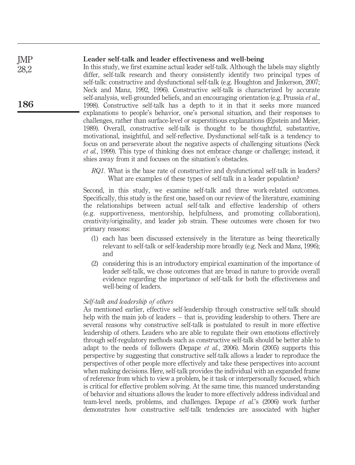# Leader self-talk and leader effectiveness and well-being In this study, we first examine actual leader self-talk. Although the labels may slightly differ, self-talk research and theory consistently identify two principal types of self-talk: constructive and dysfunctional self-talk (e.g. Houghton and Jinkerson, 2007; Neck and Manz, 1992, 1996). Constructive self-talk is characterized by accurate self-analysis, well-grounded beliefs, and an encouraging orientation (e.g. Prussia et al., 1998). Constructive self-talk has a depth to it in that it seeks more nuanced explanations to people's behavior, one's personal situation, and their responses to challenges, rather than surface-level or superstitious explanations (Epstein and Meier, 1989). Overall, constructive self-talk is thought to be thoughtful, substantive, motivational, insightful, and self-reflective. Dysfunctional self-talk is a tendency to focus on and perseverate about the negative aspects of challenging situations (Neck et al., 1999). This type of thinking does not embrace change or challenge; instead, it shies away from it and focuses on the situation's obstacles.

RQ1. What is the base rate of constructive and dysfunctional self-talk in leaders? What are examples of these types of self-talk in a leader population?

Second, in this study, we examine self-talk and three work-related outcomes. Specifically, this study is the first one, based on our review of the literature, examining the relationships between actual self-talk and effective leadership of others (e.g. supportiveness, mentorship, helpfulness, and promoting collaboration), creativity/originality, and leader job strain. These outcomes were chosen for two primary reasons:

- (1) each has been discussed extensively in the literature as being theoretically relevant to self-talk or self-leadership more broadly (e.g. Neck and Manz, 1996); and
- (2) considering this is an introductory empirical examination of the importance of leader self-talk, we chose outcomes that are broad in nature to provide overall evidence regarding the importance of self-talk for both the effectiveness and well-being of leaders.

#### Self-talk and leadership of others

As mentioned earlier, effective self-leadership through constructive self-talk should help with the main job of leaders – that is, providing leadership to others. There are several reasons why constructive self-talk is postulated to result in more effective leadership of others. Leaders who are able to regulate their own emotions effectively through self-regulatory methods such as constructive self-talk should be better able to adapt to the needs of followers (Depape *et al.*, 2006). Morin (2005) supports this perspective by suggesting that constructive self-talk allows a leader to reproduce the perspectives of other people more effectively and take these perspectives into account when making decisions. Here, self-talk provides the individual with an expanded frame of reference from which to view a problem, be it task or interpersonally focused, which is critical for effective problem solving. At the same time, this nuanced understanding of behavior and situations allows the leader to more effectively address individual and team-level needs, problems, and challenges. Depape et al.'s (2006) work further demonstrates how constructive self-talk tendencies are associated with higher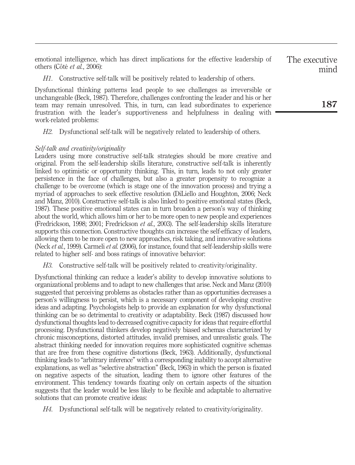emotional intelligence, which has direct implications for the effective leadership of others (Côté  $et$  al., 2006):

H1. Constructive self-talk will be positively related to leadership of others.

Dysfunctional thinking patterns lead people to see challenges as irreversible or unchangeable (Beck, 1987). Therefore, challenges confronting the leader and his or her team may remain unresolved. This, in turn, can lead subordinates to experience frustration with the leader's supportiveness and helpfulness in dealing with work-related problems:

H2. Dysfunctional self-talk will be negatively related to leadership of others.

# Self-talk and creativity/originality

Leaders using more constructive self-talk strategies should be more creative and original. From the self-leadership skills literature, constructive self-talk is inherently linked to optimistic or opportunity thinking. This, in turn, leads to not only greater persistence in the face of challenges, but also a greater propensity to recognize a challenge to be overcome (which is stage one of the innovation process) and trying a myriad of approaches to seek effective resolution (DiLiello and Houghton, 2006; Neck and Manz, 2010). Constructive self-talk is also linked to positive emotional states (Beck, 1987). These positive emotional states can in turn broaden a person's way of thinking about the world, which allows him or her to be more open to new people and experiences (Fredrickson, 1998; 2001; Fredrickson et al., 2003). The self-leadership skills literature supports this connection. Constructive thoughts can increase the self-efficacy of leaders, allowing them to be more open to new approaches, risk taking, and innovative solutions (Neck et al., 1999). Carmeli et al. (2006), for instance, found that self-leadership skills were related to higher self- and boss ratings of innovative behavior:

H3. Constructive self-talk will be positively related to creativity/originality.

Dysfunctional thinking can reduce a leader's ability to develop innovative solutions to organizational problems and to adapt to new challenges that arise. Neck and Manz (2010) suggested that perceiving problems as obstacles rather than as opportunities decreases a person's willingness to persist, which is a necessary component of developing creative ideas and adapting. Psychologists help to provide an explanation for why dysfunctional thinking can be so detrimental to creativity or adaptability. Beck (1987) discussed how dysfunctional thoughts lead to decreased cognitive capacity for ideas that require effortful processing. Dysfunctional thinkers develop negatively biased schemas characterized by chronic misconceptions, distorted attitudes, invalid premises, and unrealistic goals. The abstract thinking needed for innovation requires more sophisticated cognitive schemas that are free from these cognitive distortions (Beck, 1963). Additionally, dysfunctional thinking leads to "arbitrary inference" with a corresponding inability to accept alternative explanations, as well as "selective abstraction" (Beck, 1963) in which the person is fixated on negative aspects of the situation, leading them to ignore other features of the environment. This tendency towards fixating only on certain aspects of the situation suggests that the leader would be less likely to be flexible and adaptable to alternative solutions that can promote creative ideas:

H4. Dysfunctional self-talk will be negatively related to creativity/originality.

187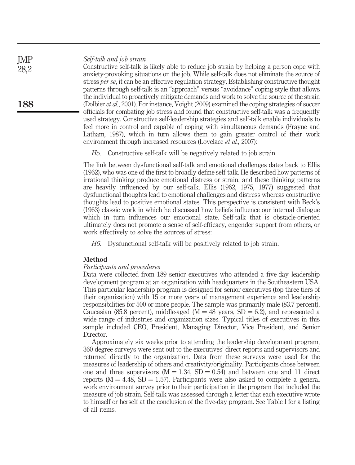#### Self-talk and job strain

Constructive self-talk is likely able to reduce job strain by helping a person cope with anxiety-provoking situations on the job. While self-talk does not eliminate the source of stress per se, it can be an effective regulation strategy. Establishing constructive thought patterns through self-talk is an "approach" versus "avoidance" coping style that allows the individual to proactively mitigate demands and work to solve the source of the strain (Dolbier et al., 2001). For instance, Voight (2009) examined the coping strategies of soccer officials for combating job stress and found that constructive self-talk was a frequently used strategy. Constructive self-leadership strategies and self-talk enable individuals to feel more in control and capable of coping with simultaneous demands (Frayne and Latham, 1987), which in turn allows them to gain greater control of their work environment through increased resources (Lovelace *et al.*, 2007):

H5. Constructive self-talk will be negatively related to job strain.

The link between dysfunctional self-talk and emotional challenges dates back to Ellis (1962), who was one of the first to broadly define self-talk. He described how patterns of irrational thinking produce emotional distress or strain, and these thinking patterns are heavily influenced by our self-talk. Ellis (1962, 1975, 1977) suggested that dysfunctional thoughts lead to emotional challenges and distress whereas constructive thoughts lead to positive emotional states. This perspective is consistent with Beck's (1963) classic work in which he discussed how beliefs influence our internal dialogue which in turn influences our emotional state. Self-talk that is obstacle-oriented ultimately does not promote a sense of self-efficacy, engender support from others, or work effectively to solve the sources of stress:

H6. Dysfunctional self-talk will be positively related to job strain.

## Method

#### Participants and procedures

Data were collected from 189 senior executives who attended a five-day leadership development program at an organization with headquarters in the Southeastern USA. This particular leadership program is designed for senior executives (top three tiers of their organization) with 15 or more years of management experience and leadership responsibilities for 500 or more people. The sample was primarily male (83.7 percent), Caucasian (85.8 percent), middle-aged ( $M = 48$  years, SD  $= 6.2$ ), and represented a wide range of industries and organization sizes. Typical titles of executives in this sample included CEO, President, Managing Director, Vice President, and Senior Director.

Approximately six weeks prior to attending the leadership development program, 360-degree surveys were sent out to the executives' direct reports and supervisors and returned directly to the organization. Data from these surveys were used for the measures of leadership of others and creativity/originality. Participants chose between one and three supervisors  $(M = 1.34, SD = 0.54)$  and between one and 11 direct reports ( $M = 4.48$ ,  $SD = 1.57$ ). Participants were also asked to complete a general work environment survey prior to their participation in the program that included the measure of job strain. Self-talk was assessed through a letter that each executive wrote to himself or herself at the conclusion of the five-day program. See Table I for a listing of all items.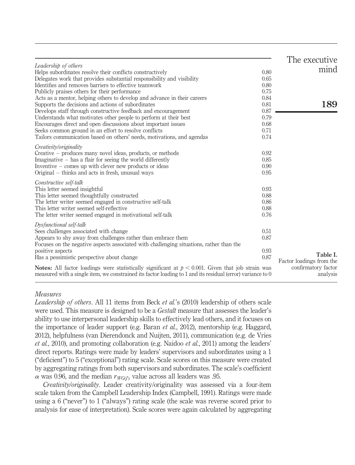|                                                                                                                                                                                                                           |      | The executive                   |
|---------------------------------------------------------------------------------------------------------------------------------------------------------------------------------------------------------------------------|------|---------------------------------|
| Leadership of others<br>Helps subordinates resolve their conflicts constructively                                                                                                                                         | 0.80 | mind                            |
| Delegates work that provides substantial responsibility and visibility                                                                                                                                                    | 0.65 |                                 |
| Identifies and removes barriers to effective teamwork                                                                                                                                                                     | 0.80 |                                 |
| Publicly praises others for their performance                                                                                                                                                                             | 0.75 |                                 |
| Acts as a mentor, helping others to develop and advance in their careers                                                                                                                                                  | 0.84 |                                 |
| Supports the decisions and actions of subordinates                                                                                                                                                                        | 0.81 | 189                             |
| Develops staff through constructive feedback and encouragement                                                                                                                                                            | 0.87 |                                 |
| Understands what motivates other people to perform at their best                                                                                                                                                          | 0.79 |                                 |
| Encourages direct and open discussions about important issues                                                                                                                                                             | 0.68 |                                 |
| Seeks common ground in an effort to resolve conflicts                                                                                                                                                                     | 0.71 |                                 |
| Tailors communication based on others' needs, motivations, and agendas                                                                                                                                                    | 0.74 |                                 |
| <i>Creativity/originality</i>                                                                                                                                                                                             |      |                                 |
| Creative – produces many novel ideas, products, or methods                                                                                                                                                                | 0.92 |                                 |
| Imaginative – has a flair for seeing the world differently                                                                                                                                                                | 0.85 |                                 |
| Inventive $-$ comes up with clever new products or ideas                                                                                                                                                                  | 0.90 |                                 |
| Original – thinks and acts in fresh, unusual ways                                                                                                                                                                         | 0.95 |                                 |
|                                                                                                                                                                                                                           |      |                                 |
| Constructive self-talk<br>This letter seemed insightful                                                                                                                                                                   | 0.93 |                                 |
| This letter seemed thoughtfully constructed                                                                                                                                                                               | 0.88 |                                 |
| The letter writer seemed engaged in constructive self-talk                                                                                                                                                                | 0.86 |                                 |
| This letter writer seemed self-reflective                                                                                                                                                                                 | 0.88 |                                 |
| The letter writer seemed engaged in motivational self-talk                                                                                                                                                                | 0.76 |                                 |
|                                                                                                                                                                                                                           |      |                                 |
| Dysfunctional self-talk                                                                                                                                                                                                   |      |                                 |
| Sees challenges associated with change                                                                                                                                                                                    | 0.51 |                                 |
| Appears to shy away from challenges rather than embrace them                                                                                                                                                              | 0.87 |                                 |
| Focuses on the negative aspects associated with challenging situations, rather than the                                                                                                                                   |      |                                 |
| positive aspects                                                                                                                                                                                                          | 0.93 | Table I.                        |
| Has a pessimistic perspective about change                                                                                                                                                                                | 0.87 | Factor loadings from the        |
| <b>Notes:</b> All factor loadings were statistically significant at $p < 0.001$ . Given that job strain was<br>measured with a single item, we constrained its factor loading to 1 and its residual (error) variance to 0 |      | confirmatory factor<br>analysis |
|                                                                                                                                                                                                                           |      |                                 |

# Measures

Leadership of others. All 11 items from Beck et al.'s (2010) leadership of others scale were used. This measure is designed to be a Gestalt measure that assesses the leader's ability to use interpersonal leadership skills to effectively lead others, and it focuses on the importance of leader support (e.g. Baran *et al.*, 2012), mentorship (e.g. Haggard, 2012), helpfulness (van Dierendonck and Nuijten, 2011), communication (e.g. de Vries et al., 2010), and promoting collaboration (e.g. Naidoo et al., 2011) among the leaders' direct reports. Ratings were made by leaders' supervisors and subordinates using a 1 ("deficient") to 5 ("exceptional") rating scale. Scale scores on this measure were created by aggregating ratings from both supervisors and subordinates. The scale's coefficient  $\alpha$  was 0.96, and the median  $r_{WGI}$  value across all leaders was .95.

Creativity/originality. Leader creativity/originality was assessed via a four-item scale taken from the Campbell Leadership Index (Campbell, 1991). Ratings were made using a 6 ("never") to 1 ("always") rating scale (the scale was reverse scored prior to analysis for ease of interpretation). Scale scores were again calculated by aggregating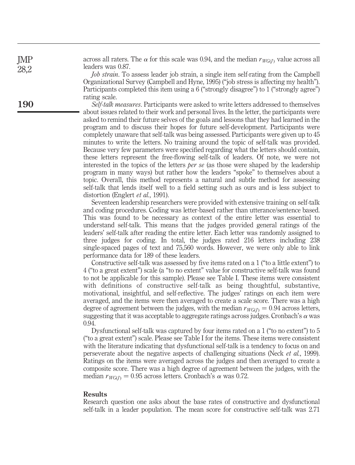across all raters. The  $\alpha$  for this scale was 0.94, and the median  $r_{WGD}$  value across all leaders was 0.87.

Job strain. To assess leader job strain, a single item self-rating from the Campbell Organizational Survey (Campbell and Hyne, 1995) ("job stress is affecting my health"). Participants completed this item using a 6 ("strongly disagree") to 1 ("strongly agree") rating scale.

Self-talk measures. Participants were asked to write letters addressed to themselves about issues related to their work and personal lives. In the letter, the participants were asked to remind their future selves of the goals and lessons that they had learned in the program and to discuss their hopes for future self-development. Participants were completely unaware that self-talk was being assessed. Participants were given up to 45 minutes to write the letters. No training around the topic of self-talk was provided. Because very few parameters were specified regarding what the letters should contain, these letters represent the free-flowing self-talk of leaders. Of note, we were not interested in the topics of the letters *per se* (as those were shaped by the leadership program in many ways) but rather how the leaders "spoke" to themselves about a topic. Overall, this method represents a natural and subtle method for assessing self-talk that lends itself well to a field setting such as ours and is less subject to distortion (Englert et al., 1991).

Seventeen leadership researchers were provided with extensive training on self-talk and coding procedures. Coding was letter-based rather than utterance/sentence based. This was found to be necessary as context of the entire letter was essential to understand self-talk. This means that the judges provided general ratings of the leaders' self-talk after reading the entire letter. Each letter was randomly assigned to three judges for coding. In total, the judges rated 216 letters including 238 single-spaced pages of text and 75,560 words. However, we were only able to link performance data for 189 of these leaders.

Constructive self-talk was assessed by five items rated on a 1 ("to a little extent") to 4 ("to a great extent") scale (a "to no extent" value for constructive self-talk was found to not be applicable for this sample). Please see Table I. These items were consistent with definitions of constructive self-talk as being thoughtful, substantive, motivational, insightful, and self-reflective. The judges' ratings on each item were averaged, and the items were then averaged to create a scale score. There was a high degree of agreement between the judges, with the median  $r_{WGI} = 0.94$  across letters, suggesting that it was acceptable to aggregate ratings across judges. Cronbach's  $\alpha$  was 0.94.

Dysfunctional self-talk was captured by four items rated on a 1 ("to no extent") to 5 ("to a great extent") scale. Please see Table I for the items. These items were consistent with the literature indicating that dysfunctional self-talk is a tendency to focus on and perseverate about the negative aspects of challenging situations (Neck et al., 1999). Ratings on the items were averaged across the judges and then averaged to create a composite score. There was a high degree of agreement between the judges, with the median  $r_{WGI} = 0.95$  across letters. Cronbach's  $\alpha$  was 0.72.

#### Results

Research question one asks about the base rates of constructive and dysfunctional self-talk in a leader population. The mean score for constructive self-talk was 2.71

190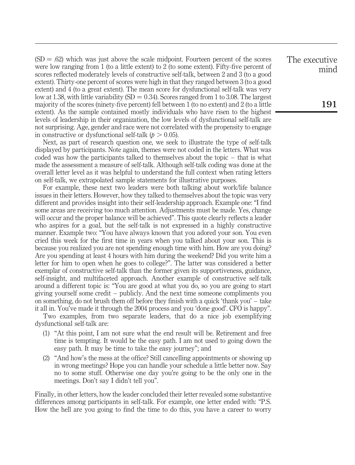$(SD = .62)$  which was just above the scale midpoint. Fourteen percent of the scores were low ranging from 1 (to a little extent) to 2 (to some extent). Fifty-five percent of scores reflected moderately levels of constructive self-talk, between 2 and 3 (to a good extent). Thirty-one percent of scores were high in that they ranged between 3 (to a good extent) and 4 (to a great extent). The mean score for dysfunctional self-talk was very low at 1.38, with little variability (SD =  $0.34$ ). Scores ranged from 1 to 3.08. The largest majority of the scores (ninety-five percent) fell between 1 (to no extent) and 2 (to a little extent). As the sample contained mostly individuals who have risen to the highest levels of leadership in their organization, the low levels of dysfunctional self-talk are not surprising. Age, gender and race were not correlated with the propensity to engage in constructive or dysfunctional self-talk ( $p > 0.05$ ).

Next, as part of research question one, we seek to illustrate the type of self-talk displayed by participants. Note again, themes were not coded in the letters. What was coded was how the participants talked to themselves about the topic – that is what made the assessment a measure of self-talk. Although self-talk coding was done at the overall letter level as it was helpful to understand the full context when rating letters on self-talk, we extrapolated sample statements for illustrative purposes.

For example, these next two leaders were both talking about work/life balance issues in their letters. However, how they talked to themselves about the topic was very different and provides insight into their self-leadership approach. Example one: "I find some areas are receiving too much attention. Adjustments must be made. Yes, change will occur and the proper balance will be achieved". This quote clearly reflects a leader who aspires for a goal, but the self-talk is not expressed in a highly constructive manner. Example two: "You have always known that you adored your son. You even cried this week for the first time in years when you talked about your son. This is because you realized you are not spending enough time with him. How are you doing? Are you spending at least 4 hours with him during the weekend? Did you write him a letter for him to open when he goes to college?". The latter was considered a better exemplar of constructive self-talk than the former given its supportiveness, guidance, self-insight, and multifaceted approach. Another example of constructive self-talk around a different topic is: "You are good at what you do, so you are going to start giving yourself some credit – publicly. And the next time someone compliments you on something, do not brush them off before they finish with a quick 'thank you' – take it all in. You've made it through the 2004 process and you 'done good'. CFO is happy".

Two examples, from two separate leaders, that do a nice job exemplifying dysfunctional self-talk are:

- (1) "At this point, I am not sure what the end result will be. Retirement and free time is tempting. It would be the easy path. I am not used to going down the easy path. It may be time to take the easy journey"; and
- (2) "And how's the mess at the office? Still cancelling appointments or showing up in wrong meetings? Hope you can handle your schedule a little better now. Say no to some stuff. Otherwise one day you're going to be the only one in the meetings. Don't say I didn't tell you".

Finally, in other letters, how the leader concluded their letter revealed some substantive differences among participants in self-talk. For example, one letter ended with: "P.S. How the hell are you going to find the time to do this, you have a career to worry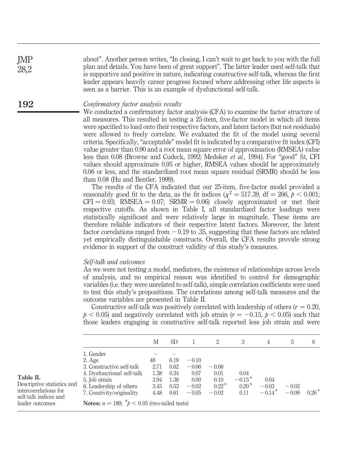about". Another person writes, "In closing, I can't wait to get back to you with the full plan and details. You have been of great support". The latter leader used self-talk that is supportive and positive in nature, indicating constructive self-talk, whereas the first leader appears heavily career progress focused where addressing other life aspects is seen as a barrier. This is an example of dysfunctional self-talk.

#### Confirmatory factor analysis results

We conducted a confirmatory factor analysis (CFA) to examine the factor structure of all measures. This resulted in testing a 25-item, five-factor model in which all items were specified to load onto their respective factors, and latent factors (but not residuals) were allowed to freely correlate. We evaluated the fit of the model using several criteria. Specifically, "acceptable" model fit is indicated by a comparative fit index (CFI) value greater than 0.90 and a root mean square error of approximation (RMSEA) value less than 0.08 (Browne and Cudeck, 1992; Medsker et al., 1994). For "good" fit, CFI values should approximate 0.95 or higher, RMSEA values should be approximately 0.06 or less, and the standardized root mean square residual (SRMR) should be less than 0.08 (Hu and Bentler, 1999).

The results of the CFA indicated that our 25-item, five-factor model provided a reasonably good fit to the data, as the fit indices ( $\chi^2 = 517.39$ , df = 266,  $p < 0.001$ ;  $CFI = 0.93$ ; RMSEA = 0.07; SRMR = 0.06) closely approximated or met their respective cutoffs. As shown in Table I, all standardized factor loadings were statistically significant and were relatively large in magnitude. These items are therefore reliable indicators of their respective latent factors. Moreover, the latent factor correlations ranged from  $-0.19$  to .35, suggesting that these factors are related yet empirically distinguishable constructs. Overall, the CFA results provide strong evidence in support of the construct validity of this study's measures.

#### Self-talk and outcomes

As we were not testing a model, mediators, the existence of relationships across levels of analysis, and no empirical reason was identified to control for demographic variables (i.e. they were unrelated to self-talk), simple correlation coefficients were used to test this study's propositions. The correlations among self-talk measures and the outcome variables are presented in Table II.

Constructive self-talk was positively correlated with leadership of others  $(r = 0.20,$  $p < 0.05$ ) and negatively correlated with job strain ( $r = -0.15$ ,  $p < 0.05$ ) such that those leaders engaging in constructive self-talk reported less job strain and were

|                                                                                                              |                                                                                                                                                                                                                              | М                                          | SD.                                          |                                                          |                                               |                                     | 4                                       | 5.                 | 6       |
|--------------------------------------------------------------------------------------------------------------|------------------------------------------------------------------------------------------------------------------------------------------------------------------------------------------------------------------------------|--------------------------------------------|----------------------------------------------|----------------------------------------------------------|-----------------------------------------------|-------------------------------------|-----------------------------------------|--------------------|---------|
| Table II.<br>Descriptive statistics and<br>intercorrelations for<br>self-talk indices and<br>leader outcomes | 1. Gender<br>2. Age<br>3. Constructive self-talk<br>4. Dysfunctional self-talk<br>5. Job strain<br>6. Leadership of others<br>7. Creativity/originality<br><b>Notes:</b> $n = 189$ ; $\sqrt[8]{p} < 0.05$ (two-tailed tests) | 48<br>2.71<br>1.38<br>3.94<br>3.45<br>4.48 | 6.19<br>0.62<br>0.34<br>1.38<br>0.53<br>0.61 | $-0.10$<br>$-0.06$<br>0.07<br>0.00<br>$-0.02$<br>$-0.05$ | $-0.08$<br>0.01<br>0.10<br>$0.22*$<br>$-0.02$ | 0.04<br>$-0.15*$<br>$0.20*$<br>0.11 | 0.04<br>$-0.03$<br>$-0.14$ <sup>*</sup> | $-0.03$<br>$-0.09$ | $0.26*$ |

192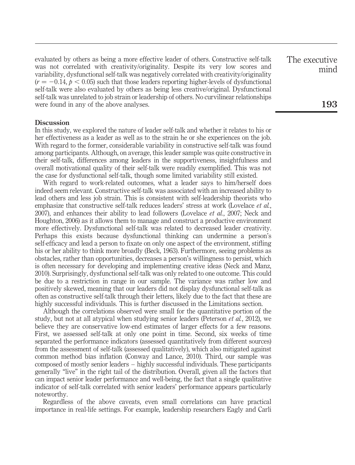evaluated by others as being a more effective leader of others. Constructive self-talk was not correlated with creativity/originality. Despite its very low scores and variability, dysfunctional self-talk was negatively correlated with creativity/originality  $(r = -0.14, p < 0.05)$  such that those leaders reporting higher-levels of dysfunctional self-talk were also evaluated by others as being less creative/original. Dysfunctional self-talk was unrelated to job strain or leadership of others. No curvilinear relationships were found in any of the above analyses.

#### **Discussion**

In this study, we explored the nature of leader self-talk and whether it relates to his or her effectiveness as a leader as well as to the strain he or she experiences on the job. With regard to the former, considerable variability in constructive self-talk was found among participants. Although, on average, this leader sample was quite constructive in their self-talk, differences among leaders in the supportiveness, insightfulness and overall motivational quality of their self-talk were readily exemplified. This was not the case for dysfunctional self-talk, though some limited variability still existed.

With regard to work-related outcomes, what a leader says to him/herself does indeed seem relevant. Constructive self-talk was associated with an increased ability to lead others and less job strain. This is consistent with self-leadership theorists who emphasize that constructive self-talk reduces leaders' stress at work (Lovelace *et al.*, 2007), and enhances their ability to lead followers (Lovelace et al., 2007; Neck and Houghton, 2006) as it allows them to manage and construct a productive environment more effectively. Dysfunctional self-talk was related to decreased leader creativity. Perhaps this exists because dysfunctional thinking can undermine a person's self-efficacy and lead a person to fixate on only one aspect of the environment, stifling his or her ability to think more broadly (Beck, 1963). Furthermore, seeing problems as obstacles, rather than opportunities, decreases a person's willingness to persist, which is often necessary for developing and implementing creative ideas (Neck and Manz, 2010). Surprisingly, dysfunctional self-talk was only related to one outcome. This could be due to a restriction in range in our sample. The variance was rather low and positively skewed, meaning that our leaders did not display dysfunctional self-talk as often as constructive self-talk through their letters, likely due to the fact that these are highly successful individuals. This is further discussed in the Limitations section.

Although the correlations observed were small for the quantitative portion of the study, but not at all atypical when studying senior leaders (Peterson *et al.*, 2012), we believe they are conservative low-end estimates of larger effects for a few reasons. First, we assessed self-talk at only one point in time. Second, six weeks of time separated the performance indicators (assessed quantitatively from different sources) from the assessment of self-talk (assessed qualitatively), which also mitigated against common method bias inflation (Conway and Lance, 2010). Third, our sample was composed of mostly senior leaders – highly successful individuals. These participants generally "live" in the right tail of the distribution. Overall, given all the factors that can impact senior leader performance and well-being, the fact that a single qualitative indicator of self-talk correlated with senior leaders' performance appears particularly noteworthy.

Regardless of the above caveats, even small correlations can have practical importance in real-life settings. For example, leadership researchers Eagly and Carli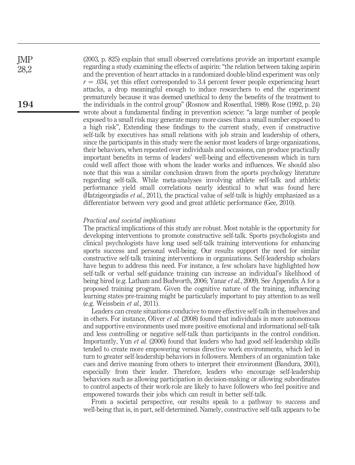(2003, p. 825) explain that small observed correlations provide an important example regarding a study examining the effects of aspirin: "the relation between taking aspirin and the prevention of heart attacks in a randomized double-blind experiment was only  $r = .034$ , yet this effect corresponded to 3.4 percent fewer people experiencing heart attacks, a drop meaningful enough to induce researchers to end the experiment prematurely because it was deemed unethical to deny the benefits of the treatment to the individuals in the control group" (Rosnow and Rosenthal, 1989). Rose (1992, p. 24) wrote about a fundamental finding in prevention science: "a large number of people exposed to a small risk may generate many more cases than a small number exposed to a high risk", Extending these findings to the current study, even if constructive self-talk by executives has small relations with job strain and leadership of others, since the participants in this study were the senior most leaders of large organizations, their behaviors, when repeated over individuals and occasions, can produce practically important benefits in terms of leaders' well-being and effectivenessm which in turn could well affect those with whom the leader works and influences. We should also note that this was a similar conclusion drawn from the sports psychology literature regarding self-talk. While meta-analyses involving athlete self-talk and athletic performance yield small correlations nearly identical to what was found here (Hatzigeorgiadis *et al.*, 2011), the practical value of self-talk is highly emphasized as a differentiator between very good and great athletic performance (Gee, 2010).

#### Practical and societal implications

The practical implications of this study are robust. Most notable is the opportunity for developing interventions to promote constructive self-talk. Sports psychologists and clinical psychologists have long used self-talk training interventions for enhancing sports success and personal well-being. Our results support the need for similar constructive self-talk training interventions in organizations. Self-leadership scholars have begun to address this need. For instance, a few scholars have highlighted how self-talk or verbal self-guidance training can increase an individual's likelihood of being hired (e.g. Latham and Budworth, 2006; Yanar et al., 2009). See Appendix A for a proposed training program. Given the cognitive nature of the training, influencing learning states pre-training might be particularly important to pay attention to as well (e.g. Weissbein  $et$  al., 2011).

Leaders can create situations conducive to more effective self-talk in themselves and in others. For instance, Oliver *et al.* (2008) found that individuals in more autonomous and supportive environments used more positive emotional and informational self-talk and less controlling or negative self-talk than participants in the control condition. Importantly, Yun et al. (2006) found that leaders who had good self-leadership skills tended to create more empowering versus directive work environments, which led in turn to greater self-leadership behaviors in followers. Members of an organization take cues and derive meaning from others to interpret their environment (Bandura, 2001), especially from their leader. Therefore, leaders who encourage self-leadership behaviors such as allowing participation in decision-making or allowing subordinates to control aspects of their work-role are likely to have followers who feel positive and empowered towards their jobs which can result in better self-talk.

From a societal perspective, our results speak to a pathway to success and well-being that is, in part, self-determined. Namely, constructive self-talk appears to be

28,2

194

JMP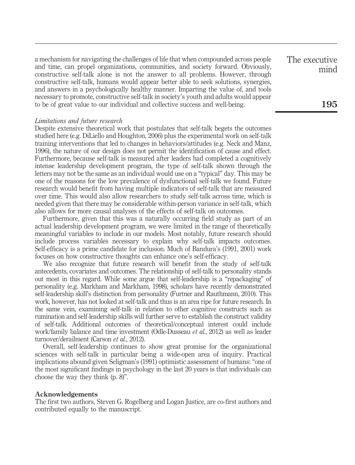a mechanism for navigating the challenges of life that when compounded across people and time, can propel organizations, communities, and society forward. Obviously, constructive self-talk alone is not the answer to all problems. However, through constructive self-talk, humans would appear better able to seek solutions, synergies, and answers in a psychologically healthy manner. Imparting the value of, and tools necessary to promote, constructive self-talk in society's youth and adults would appear to be of great value to our individual and collective success and well-being.

#### Limitations and future research

Despite extensive theoretical work that postulates that self-talk begets the outcomes studied here (e.g. DiLiello and Houghton, 2006) plus the experimental work on self-talk training interventions that led to changes in behaviors/attitudes (e.g. Neck and Manz, 1996), the nature of our design does not permit the identification of cause and effect. Furthermore, because self-talk is measured after leaders had completed a cognitively intense leadership development program, the type of self-talk shown through the letters may not be the same as an individual would use on a "typical" day. This may be one of the reasons for the low prevalence of dysfunctional self-talk we found. Future research would benefit from having multiple indicators of self-talk that are measured over time. This would also allow researchers to study self-talk across time, which is needed given that there may be considerable within-person variance in self-talk, which also allows for more causal analyses of the effects of self-talk on outcomes.

Furthermore, given that this was a naturally occurring field study as part of an actual leadership development program, we were limited in the range of theoretically meaningful variables to include in our models. Most notably, future research should include process variables necessary to explain why self-talk impacts outcomes. Self-efficacy is a prime candidate for inclusion. Much of Bandura's (1991, 2001) work focuses on how constructive thoughts can enhance one's self-efficacy.

We also recognize that future research will benefit from the study of self-talk antecedents, covariates and outcomes. The relationship of self-talk to personality stands out most in this regard. While some argue that self-leadership is a "repackaging" of personality (e.g. Markham and Markham, 1998), scholars have recently demonstrated self-leadership skill's distinction from personality (Furtner and Rauthmann, 2010). This work, however, has not looked at self-talk and thus is an area ripe for future research. In the same vein, examining self-talk in relation to other cognitive constructs such as rumination and self-leadership skills will further serve to establish the construct validity of self-talk. Additional outcomes of theoretical/conceptual interest could include work/family balance and time investment (Odle-Dusseau et al., 2012) as well as leader turnover/derailment (Carson et al., 2012).

Overall, self-leadership continues to show great promise for the organizational sciences with self-talk in particular being a wide-open area of inquiry. Practical implications abound given Seligman's (1991) optimistic assessment of humans: "one of the most significant findings in psychology in the last 20 years is that individuals can choose the way they think (p. 8)".

#### Acknowledgements

The first two authors, Steven G. Rogelberg and Logan Justice, are co-first authors and contributed equally to the manuscript.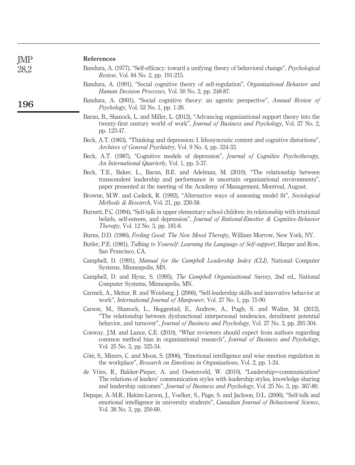| JMP | References |
|-----|------------|
|     |            |

- Bandura, A. (1977), "Self-efficacy: toward a unifying theory of behavioral change", Psychological Review, Vol. 84 No. 2, pp. 191-215.
- Bandura, A. (1991), "Social cognitive theory of self-regulation", *Organizational Behavior and* Human Decision Processes, Vol. 50 No. 2, pp. 248-87.
- Bandura, A. (2001), "Social cognitive theory: an agentic perspective", Annual Review of Psychology, Vol. 52 No. 1, pp. 1-26.
- Baran, B., Shanock, L. and Miller, L. (2012), "Advancing organizational support theory into the twenty-first century world of work", Journal of Business and Psychology, Vol. 27 No. 2, pp. 123-47.
- Beck, A.T. (1963), "Thinking and depression: I. Idiosyncratic content and cognitive distortions", Archives of General Psychiatry, Vol. 9 No. 4, pp. 324-33.
- Beck, A.T. (1987), "Cognitive models of depression", *Journal of Cognitive Psychotherapy*, An International Quarterly, Vol. 1, pp. 5-37.
- Beck, T.E., Baker, L., Baran, B.E. and Adelman, M. (2010), "The relationship between transcendent leadership and performance in uncertain organizational environments", paper presented at the meeting of the Academy of Management, Montreal, August.
- Browne, M.W. and Cudeck, R. (1992), "Alternative ways of assessing model fit", Sociological Methods & Research, Vol. 21, pp. 230-58.
- Burnett, P.C. (1994), "Self-talk in upper elementary school children: its relationship with irrational beliefs, self-esteem, and depression", Journal of Rational-Emotive & Cognitive-Behavior Therapy, Vol. 12 No. 3, pp. 181-8.
- Burns, D.D. (1980), Feeling Good: The New Mood Therapy, William Morrow, New York, NY.
- Butler, P.E. (1981), Talking to Yourself: Learning the Language of Self-support, Harper and Row, San Francisco, CA.
- Campbell, D. (1991), Manual for the Campbell Leadership Index (CLI), National Computer Systems, Minneapolis, MN.
- Campbell, D. and Hyne, S. (1995), The Campbell Organizational Survey, 2nd ed., National Computer Systems, Minneapolis, MN.
- Carmeli, A., Meitar, R. and Weisberg, J. (2006), "Self-leadership skills and innovative behavior at work", International Journal of Manpower, Vol. 27 No. 1, pp. 75-90.
- Carson, M., Shanock, L., Heggestad, E., Andrew, A., Pugh, S. and Walter, M. (2012), "The relationship between dysfunctional interpersonal tendencies, derailment potential behavior, and turnover", *Journal of Business and Psychology*, Vol. 27 No. 3, pp. 291-304.
- Conway, J.M. and Lance, C.E. (2010), "What reviewers should expect from authors regarding common method bias in organizational research", Journal of Business and Psychology, Vol. 25 No. 3, pp. 325-34.
- Côté, S., Miners, C. and Moon, S. (2006), "Emotional intelligence and wise emotion regulation in the workplace", Research on Emotions in Organizations, Vol. 2, pp. 1-24.
- de Vries, R., Bakker-Pieper, A. and Oostenveld, W.  $(2010)$ , "Leadership=communication? The relations of leaders' communication styles with leadership styles, knowledge sharing and leadership outcomes", Journal of Business and Psychology, Vol. 25 No. 3, pp. 367-80.
- Depape, A.-M.R., Hakim-Larson, J., Voelker, S., Page, S. and Jackson, D.L. (2006), "Self-talk and emotional intelligence in university students", Canadian Journal of Behavioural Science, Vol. 38 No. 3, pp. 250-60.

28,2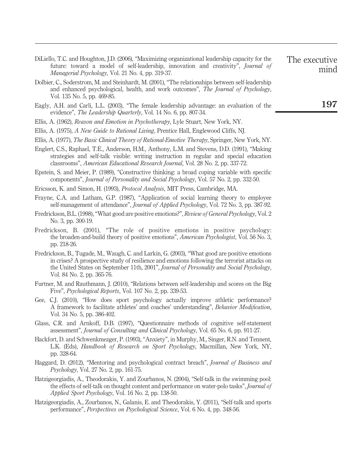- DiLiello, T.C. and Houghton, J.D. (2006), "Maximizing organizational leadership capacity for the future: toward a model of self-leadership, innovation and creativity", *Journal of* Managerial Psychology, Vol. 21 No. 4, pp. 319-37.
- Dolbier, C., Soderstrom, M. and Steinhardt, M. (2001), "The relationships between self-leadership and enhanced psychological, health, and work outcomes", The Journal of Psychology, Vol. 135 No. 5, pp. 469-85.
- Eagly, A.H. and Carli, L.L. (2003), "The female leadership advantage: an evaluation of the evidence", *The Leadership Quarterly*, Vol. 14 No. 6, pp. 807-34.
- Ellis, A. (1962), Reason and Emotion in Psychotherapy, Lyle Stuart, New York, NY.
- Ellis, A. (1975), A New Guide to Rational Living, Prentice Hall, Englewood Cliffs, NJ.
- Ellis, A. (1977), The Basic Clinical Theory of Rational-Emotive Therapy, Springer, New York, NY.
- Englert, C.S., Raphael, T.E., Anderson, H.M., Anthony, L.M. and Stevens, D.D. (1991), "Making strategies and self-talk visible: writing instruction in regular and special education classrooms", American Educational Research Journal, Vol. 28 No. 2, pp. 337-72.
- Epstein, S. and Meier, P. (1989), "Constructive thinking: a broad coping variable with specific components", Journal of Personality and Social Psychology, Vol. 57 No. 2, pp. 332-50.
- Ericsson, K. and Simon, H. (1993), Protocol Analysis, MIT Press, Cambridge, MA.
- Frayne, C.A. and Latham, G.P. (1987), "Application of social learning theory to employee self-management of attendance", Journal of Applied Psychology, Vol. 72 No. 3, pp. 387-92.
- Fredrickson, B.L. (1998), "What good are positive emotions?", Review of General Psychology, Vol. 2 No. 3, pp. 300-19.
- Fredrickson, B. (2001), "The role of positive emotions in positive psychology: the broaden-and-build theory of positive emotions", American Psychologist, Vol. 56 No. 3, pp. 218-26.
- Fredrickson, B., Tugade, M., Waugh, C. and Larkin, G. (2003), "What good are positive emotions in crises? A prospective study of resilience and emotions following the terrorist attacks on the United States on September 11th, 2001", Journal of Personality and Social Psychology, Vol. 84 No. 2, pp. 365-76.
- Furtner, M. and Rauthmann, J. (2010), "Relations between self-leadership and scores on the Big Five", Psychological Reports, Vol. 107 No. 2, pp. 339-53.
- Gee, C.J. (2010), "How does sport psychology actually improve athletic performance? A framework to facilitate athletes' and coaches' understanding", Behavior Modification, Vol. 34 No. 5, pp. 386-402.
- Glass, C.R. and Arnkoff, D.B. (1997), "Questionnaire methods of cognitive self-statement assessment", Journal of Consulting and Clinical Psychology, Vol. 65 No. 6, pp. 911-27.
- Hackfort, D. and Schwenkmezger, P. (1993), "Anxiety", in Murphy, M., Singer, R.N. and Tennent, L.K. (Eds), Handbook of Research on Sport Psychology, Macmillan, New York, NY, pp. 328-64.
- Haggard, D. (2012), "Mentoring and psychological contract breach", Journal of Business and Psychology, Vol. 27 No. 2, pp. 161-75.
- Hatzigeorgiadis, A., Theodorakis, Y. and Zourbanos, N. (2004), "Self-talk in the swimming pool: the effects of self-talk on thought content and performance on water-polo tasks", Journal of Applied Sport Psychology, Vol. 16 No. 2, pp. 138-50.
- Hatzigeorgiadis, A., Zourbanos, N., Galanis, E. and Theodorakis, Y. (2011), "Self-talk and sports performance", Perspectives on Psychological Science, Vol. 6 No. 4, pp. 348-56.

The executive mind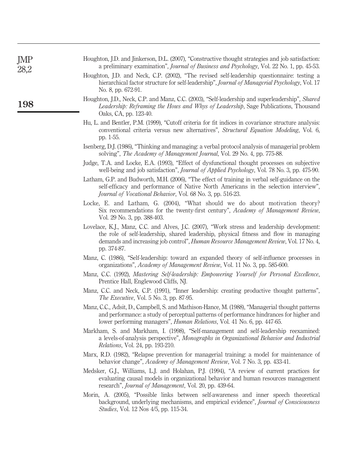| JMP<br>28,2 | Houghton, J.D. and Jinkerson, D.L. (2007), "Constructive thought strategies and job satisfaction:<br>a preliminary examination", Journal of Business and Psychology, Vol. 22 No. 1, pp. 45-53.                                                                                               |
|-------------|----------------------------------------------------------------------------------------------------------------------------------------------------------------------------------------------------------------------------------------------------------------------------------------------|
|             | Houghton, J.D. and Neck, C.P. (2002), "The revised self-leadership questionnaire: testing a<br>hierarchical factor structure for self-leadership", Journal of Managerial Psychology, Vol. 17<br>No. 8, pp. 672-91.                                                                           |
| 198         | Houghton, J.D., Neck, C.P. and Manz, C.C. (2003), "Self-leadership and superleadership", Shared<br>Leadership: Reframing the Hows and Whys of Leadership, Sage Publications, Thousand<br>Oaks, CA, pp. 123-40.                                                                               |
|             | Hu, L. and Bentler, P.M. (1999), "Cutoff criteria for fit indices in covariance structure analysis:<br>conventional criteria versus new alternatives", Structural Equation Modeling, Vol. 6,<br>pp. 1-55.                                                                                    |
|             | Isenberg, D.J. (1986), "Thinking and managing: a verbal protocol analysis of managerial problem<br>solving", <i>The Academy of Management Journal</i> , Vol. 29 No. 4, pp. 775-88.                                                                                                           |
|             | Judge, T.A. and Locke, E.A. (1993), "Effect of dysfunctional thought processes on subjective<br>well-being and job satisfaction", Journal of Applied Psychology, Vol. 78 No. 3, pp. 475-90.                                                                                                  |
|             | Latham, G.P. and Budworth, M.H. (2006), "The effect of training in verbal self-guidance on the<br>self-efficacy and performance of Native North Americans in the selection interview",<br>Journal of Vocational Behavior, Vol. 68 No. 3, pp. 516-23.                                         |
|             | Locke, E. and Latham, G. (2004), "What should we do about motivation theory?<br>Six recommendations for the twenty-first century", Academy of Management Review,<br>Vol. 29 No. 3, pp. 388-403.                                                                                              |
|             | Lovelace, K.J., Manz, C.C. and Alves, J.C. (2007), "Work stress and leadership development:<br>the role of self-leadership, shared leadership, physical fitness and flow in managing<br>demands and increasing job control", Human Resource Management Review, Vol. 17 No. 4,<br>pp. 374-87. |
|             | Manz, C. (1986), "Self-leadership: toward an expanded theory of self-influence processes in<br>organizations", Academy of Management Review, Vol. 11 No. 3, pp. 585-600.                                                                                                                     |
|             | Manz, C.C. (1992), Mastering Self-leadership: Empowering Yourself for Personal Excellence,<br>Prentice Hall, Englewood Cliffs, NJ.                                                                                                                                                           |
|             | Manz, C.C. and Neck, C.P. (1991), "Inner leadership: creating productive thought patterns",<br><i>The Executive, Vol.</i> 5 No. 3, pp. 87-95.                                                                                                                                                |
|             | Manz, C.C., Adsit, D., Campbell, S. and Mathison-Hance, M. (1988), "Managerial thought patterns<br>and performance: a study of perceptual patterns of performance hindrances for higher and<br>lower performing managers", <i>Human Relations</i> , Vol. 41 No. 6, pp. 447-65.               |
|             | Markham, S. and Markham, I. (1998), "Self-management and self-leadership reexamined:<br>a levels-of-analysis perspective", Monographs in Organizational Behavior and Industrial<br>Relations, Vol. 24, pp. 193-210.                                                                          |
|             | Marx, R.D. (1982), "Relapse prevention for managerial training: a model for maintenance of<br>behavior change", Academy of Management Review, Vol. 7 No. 3, pp. 433-41.                                                                                                                      |
|             | Medsker, G.J., Williams, L.J. and Holahan, P.J. (1994), "A review of current practices for<br>evaluating causal models in organizational behavior and human resources management<br>research", <i>Journal of Management</i> , Vol. 20, pp. 439-64.                                           |
|             | Morin, A. (2005), "Possible links between self-awareness and inner speech theoretical<br>background, underlying mechanisms, and empirical evidence", Journal of Consciousness<br>Studies, Vol. 12 Nos 4/5, pp. 115-34.                                                                       |
|             |                                                                                                                                                                                                                                                                                              |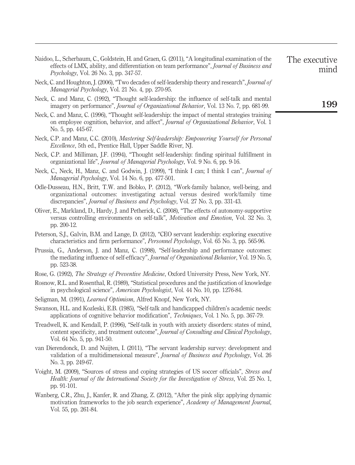- Naidoo, L., Scherbaum, C., Goldstein, H. and Graen, G. (2011), "A longitudinal examination of the effects of LMX, ability, and differentiation on team performance", Journal of Business and Psychology, Vol. 26 No. 3, pp. 347-57.
- Neck, C. and Houghton, J. (2006), "Two decades of self-leadership theory and research", Journal of Managerial Psychology, Vol. 21 No. 4, pp. 270-95.
- Neck, C. and Manz, C. (1992), "Thought self-leadership: the influence of self-talk and mental imagery on performance", Journal of Organizational Behavior, Vol. 13 No. 7, pp. 681-99.
- Neck, C. and Manz, C. (1996), "Thought self-leadership: the impact of mental strategies training on employee cognition, behavior, and affect", Journal of Organizational Behavior, Vol. 1 No. 5, pp. 445-67.
- Neck, C.P. and Manz, C.C. (2010), Mastering Self-leadership: Empowering Yourself for Personal Excellence, 5th ed., Prentice Hall, Upper Saddle River, NJ.
- Neck, C.P. and Milliman, J.F. (1994), "Thought self-leadership: finding spiritual fulfillment in organizational life", Journal of Managerial Psychology, Vol. 9 No. 6, pp. 9-16.
- Neck, C., Neck, H., Manz, C. and Godwin, J. (1999), "I think I can; I think I can", *Journal of* Managerial Psychology, Vol. 14 No. 6, pp. 477-501.
- Odle-Dusseau, H.N., Britt, T.W. and Bobko, P. (2012), "Work-family balance, well-being, and organizational outcomes: investigating actual versus desired work/family time discrepancies", Journal of Business and Psychology, Vol. 27 No. 3, pp. 331-43.
- Oliver, E., Markland, D., Hardy, J. and Petherick, C. (2008), "The effects of autonomy-supportive versus controlling environments on self-talk", Motivation and Emotion, Vol. 32 No. 3, pp. 200-12.
- Peterson, S.J., Galvin, B.M. and Lange, D. (2012), "CEO servant leadership: exploring executive characteristics and firm performance", Personnel Psychology, Vol. 65 No. 3, pp. 565-96.
- Prussia, G., Anderson, J. and Manz, C. (1998), "Self-leadership and performance outcomes: the mediating influence of self-efficacy", Journal of Organizational Behavior, Vol. 19 No. 5, pp. 523-38.
- Rose, G. (1992), The Strategy of Preventive Medicine, Oxford University Press, New York, NY.
- Rosnow, R.L. and Rosenthal, R. (1989), "Statistical procedures and the justification of knowledge in psychological science", American Psychologist, Vol. 44 No. 10, pp. 1276-84.
- Seligman, M. (1991), Learned Optimism, Alfred Knopf, New York, NY.
- Swanson, H.L. and Kozleski, E.B. (1985), "Self-talk and handicapped children's academic needs: applications of cognitive behavior modification", Techniques, Vol. 1 No. 5, pp. 367-79.
- Treadwell, K. and Kendall, P. (1996), "Self-talk in youth with anxiety disorders: states of mind, content specificity, and treatment outcome", Journal of Consulting and Clinical Psychology, Vol. 64 No. 5, pp. 941-50.
- van Dierendonck, D. and Nuijten, I. (2011), "The servant leadership survey: development and validation of a multidimensional measure", Journal of Business and Psychology, Vol. 26 No. 3, pp. 249-67.
- Voight, M. (2009), "Sources of stress and coping strategies of US soccer officials", Stress and Health: Journal of the International Society for the Investigation of Stress, Vol. 25 No. 1, pp. 91-101.
- Wanberg, C.R., Zhu, J., Kanfer, R. and Zhang, Z. (2012), "After the pink slip: applying dynamic motivation frameworks to the job search experience", Academy of Management Journal, Vol. 55, pp. 261-84.

The executive mind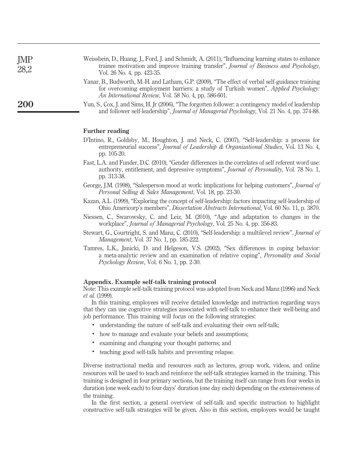| <b>IMP</b><br>28,2 | Weissbein, D., Huang, J., Ford, J. and Schmidt, A. (2011), "Influencing learning states to enhance<br>trainee motivation and improve training transfer", Journal of Business and Psychology,<br>Vol. 26 No. 4, pp. 423-35.                                    |
|--------------------|---------------------------------------------------------------------------------------------------------------------------------------------------------------------------------------------------------------------------------------------------------------|
|                    | Yanar, B., Budworth, M.-H. and Latham, G.P. (2009), "The effect of verbal self-guidance training<br>for overcoming employment barriers: a study of Turkish women", <i>Applied Psychology</i> :<br><i>An International Review, Vol. 58 No. 4, pp. 586-601.</i> |
| <b>200</b>         | Yun, S., Cox, J. and Sims, H. Jr (2006), "The forgotten follower: a contingency model of leadership                                                                                                                                                           |

#### Further reading

D'Intino, R., Goldsby, M., Houghton, J. and Neck, C. (2007), "Self-leadership: a process for entrepreneurial success", *Journal of Leadership & Organizational Studies*, Vol. 13 No. 4, pp. 105-20.

and follower self-leadership", Journal of Managerial Psychology, Vol. 21 No. 4, pp. 374-88.

- Fast, L.A. and Funder, D.C. (2010), "Gender differences in the correlates of self referent word use: authority, entitlement, and depressive symptoms", Journal of Personality, Vol. 78 No. 1, pp. 313-38.
- George, J.M. (1998), "Salesperson mood at work: implications for helping customers", Journal of Personal Selling & Sales Management, Vol. 18, pp. 23-30.
- Kazan, A.L. (1999), "Exploring the concept of self-leadership: factors impacting self-leadership of Ohio Americorp's members", Dissertation Abstracts International, Vol. 60 No. 11, p. 3870.
- Niessen, C., Swarowsky, C. and Leiz, M. (2010), "Age and adaptation to changes in the workplace", Journal of Managerial Psychology, Vol. 25 No. 4, pp. 356-83.
- Stewart, G., Courtright, S. and Manz, C. (2010), "Self-leadership: a multilevel review", Journal of Management, Vol. 37 No. 1, pp. 185-222.
- Tamres, L.K., Janicki, D. and Helgeson, V.S. (2002), "Sex differences in coping behavior: a meta-analytic review and an examination of relative coping", Personality and Social Psychology Review, Vol. 6 No. 1, pp. 2-30.

#### Appendix. Example self-talk training protocol

Note: This example self-talk training protocol was adopted from Neck and Manz (1996) and Neck et al. (1999).

In this training, employees will receive detailed knowledge and instruction regarding ways that they can use cognitive strategies associated with self-talk to enhance their well-being and job performance. This training will focus on the following strategies:

- . understanding the nature of self-talk and evaluating their own self-talk;
- . how to manage and evaluate your beliefs and assumptions;
- . examining and changing your thought patterns; and
- . teaching good self-talk habits and preventing relapse.

Diverse instructional media and resources such as lectures, group work, videos, and online resources will be used to teach and reinforce the self-talk strategies learned in the training. This training is designed in four primary sections, but the training itself can range from four weeks in duration (one week each) to four days' duration (one day each) depending on the extensiveness of the training.

In the first section, a general overview of self-talk and specific instruction to highlight constructive self-talk strategies will be given. Also in this section, employees would be taught